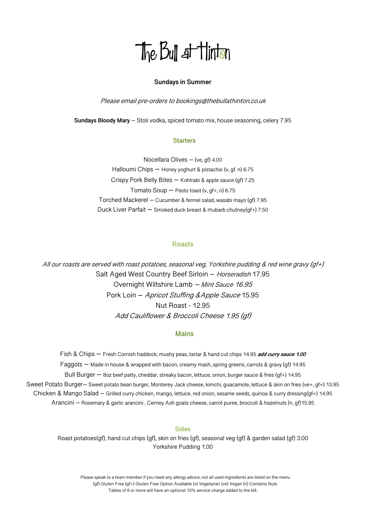# The Bull at Hinton

### **Sundays in Summer**

Please email pre-orders to bookings@thebullathinton.co.uk

**Sundays Bloody Mary** – Stoli vodka, spiced tomato mix, house seasoning, celery 7.95

## **Starters**

Nocellara Olives – (ve, gf) 4.00 Halloumi Chips – Honey yoghurt & pistachio (v, gf. n) 6.75 Crispy Pork Belly Bites – Kohlrabi & apple sauce (gf) 7.25 Tomato Soup  $-$  Pesto toast (v, gf+, n) 6.75 Torched Mackerel – Cucumber & fennel salad, wasabi mayo (gf) 7.95 Duck Liver Parfait – Smoked duck breast & rhubarb chutney(gf+) 7.50

# **Roasts**

All our roasts are served with roast potatoes, seasonal veg, Yorkshire pudding & red wine gravy (gf+) Salt Aged West Country Beef Sirloin - Horseradish 17.95 Overnight Wiltshire Lamb – Mint Sauce 16.95 Pork Loin – Apricot Stuffing &Apple Sauce 15.95 Nut Roast - 12.95 Add Cauliflower & Broccoli Cheese 1.95 (gf)

## **Mains**

Fish & Chips – Fresh Cornish haddock, mushy peas, tartar & hand cut chips 14.95 **add curry sauce 1.00** Faggots – Made in house & wrapped with bacon, creamy mash, spring greens, carrots & gravy (gf) 14.95 Bull Burger – 8oz beef patty, cheddar, streaky bacon, lettuce, onion, burger sauce & fries (gf+) 14.95 Sweet Potato Burger– Sweet potato bean burger, Monterey Jack cheese, kimchi, guacamole, lettuce & skin on fries (ve+, gf+) 13.95 Chicken & Mango Salad – Grilled curry chicken, mango, lettuce, red onion, sesame seeds, quinoa & curry dressing(gf+) 14.95 Arancini – Rosemary & garlic arancini , Cerney Ash goats cheese, carrot puree, broccoli & hazelnuts (n, gf)15.95

### **Sides**

Roast potatoes(gf), hand cut chips (gf), skin on fries (gf), seasonal veg (gf) & garden salad (gf) 3.00 Yorkshire Pudding 1.00

 Please speak to a team member if you need any allergy advice, not all used ingredients are listed on the menu (gf) Gluten Free (gf+) Gluten Free Option Available (v) Vegetarian (ve) Vegan (n) Contains Nuts Tables of 8 or more will have an optional 10% service charge added to the bill.